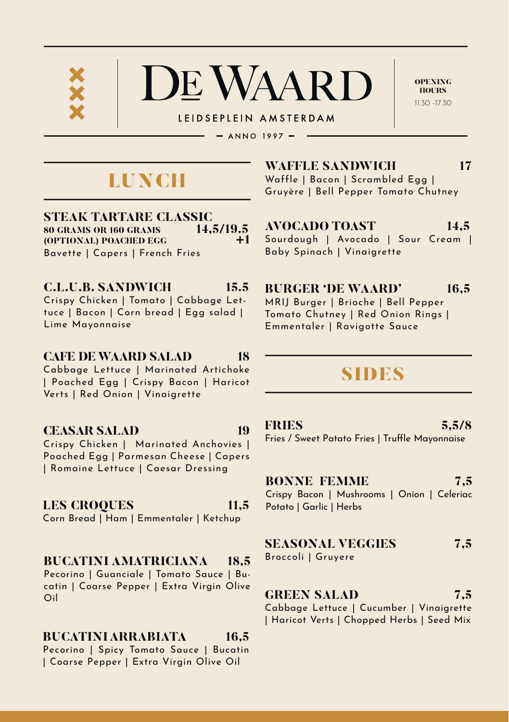

LEIDSEPLEIN AMSTERDAM

 $-$  ANNO 1997  $-$ 

# LUNCH

**STEAK TARTARE CLASSIC**<br>80 GRAMS OR 160 GRAMS 14.5/19.5 **80 GRAMS OR 160 GRAMS** 14,5/19.5<br>**(OPTIONAL) POACHED ECC** +1 **(OPTIONAL) POACHED EGG** Bavette | Capers | French Fries

**C.L.U.B. SANDWICH 15.5** Crispy Chicken | Tomato | Cabbage Lettuce | Bacon | Corn bread | Egg salad | Lime Mayonnaise

#### **CAFE DE WAARD SALAD 18** Cabbage Lettuce | Marinated Artichoke

| Poached Egg | Crispy Bacon | Haricot Verts | Red Onion | Vinaigrette

## **CEASAR SALAD 19**

Crispy Chicken | Marinated Anchovies | Poached Egg | Parmesan Cheese | Capers | Romaine Lettuce | Caesar Dressing

## **LES CROQUES 11,5**

Corn Bread | Ham | Emmentaler | Ketchup

## **BUCATINI AMATRICIANA 18,5**

Pecorino | Guanciale | Tomato Sauce | Bucatin | Coarse Pepper | Extra Virgin Olive Oil

## **BUCATINI ARRABIATA 16,5**

Pecorino | Spicy Tomato Sauce | Bucatin | Coarse Pepper | Extra Virgin Olive Oil

**WAFFLE SANDWICH 17** Waffle | Bacon | Scrambled Egg |

Baby Spinach | Vinaigrette

Gruyère | Bell Pepper Tomato Chutney

OPENING **HOURS**  $11.30$   $17.30$ 

**AVOCADO TOAST 14,5** Sourdough | Avocado | Sour Cream |

**BURGER 'DE WAARD' 16,5**

MRIJ Burger | Brioche | Bell Pepper Tomato Chutney | Red Onion Rings | Emmentaler | Ravigotte Sauce

## SIDES

**FRIES 5,5/8**

Fries / Sweet Patato Fries | Truffle Mayonnaise

**BONNE FEMME 7.5** 

Crispy Bacon | Mushrooms | Onion | Celeriac Potato | Garlic | Herbs

## **SEASONAL VEGGIES 7,5**

Broccoli | Gruyere

**GREEN SALAD 7,5**

Cabbage Lettuce | Cucumber | Vinaigrette | Haricot Verts | Chopped Herbs | Seed Mix